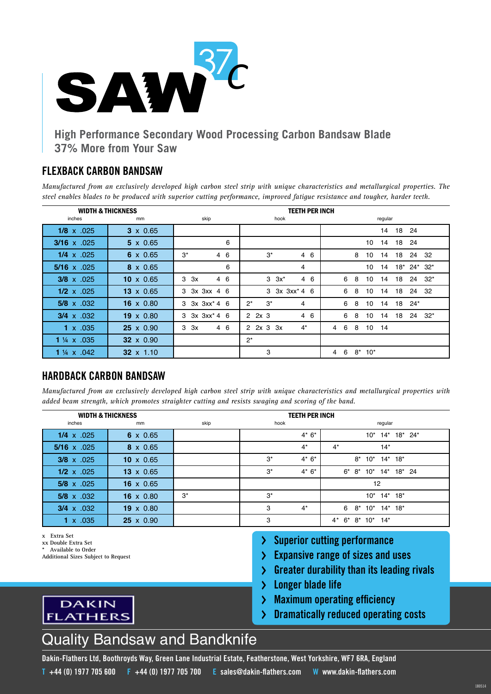

# **High Performance Secondary Wood Processing Carbon Bandsaw Blade 37% More from Your Saw**

#### **FLEXBACK CARBON BANDSAW**

*Manufactured from an exclusively developed high carbon steel strip with unique characteristics and metallurgical properties. The steel enables blades to be produced with superior cutting performance, improved fatigue resistance and tougher, harder teeth.*

|                        | <b>WIDTH &amp; THICKNESS</b><br><b>TEETH PER INCH</b> |                              |                                |                                          |
|------------------------|-------------------------------------------------------|------------------------------|--------------------------------|------------------------------------------|
| inches                 | mm                                                    | skip                         | hook                           | regular                                  |
| $1/8 \times .025$      | $3 \times 0.65$                                       |                              |                                | 18<br>14<br>24                           |
| $3/16 \times .025$     | $5 \times 0.65$                                       | 6                            |                                | 18<br>14<br>24<br>10                     |
| $1/4 \times .025$      | $6 \times 0.65$                                       | $3^*$<br>6<br>$\overline{4}$ | $3^*$<br>- 6<br>$\overline{4}$ | 18<br>24 32<br>8<br>10<br>14             |
| $5/16 \times .025$     | $8 \times 0.65$                                       | 6                            | 4                              | 18* 24* 32*<br>14<br>10                  |
| $3/8 \times 0.025$     | 10 $\times$ 0.65                                      | 46<br>3<br>3x                | $3 \quad 3x^*$<br>4 6          | 6<br>8<br>18<br>24<br>$32^*$<br>10<br>14 |
| $1/2 \times 0.025$     | $13 \times 0.65$                                      | 3x 3xx 4 6<br>3              | $3 \, 3x \, 3xx^* \, 4 \, 6$   | 18<br>24 32<br>6<br>8<br>10<br>14        |
| $5/8 \times .032$      | $16 \times 0.80$                                      | $3x \, 3xx^* \, 4 \, 6$<br>3 | $2^*$<br>$3^*$<br>4            | 18<br>$24*$<br>6<br>8<br>10<br>14        |
| $3/4 \times .032$      | $19 \times 0.80$                                      | $3x \, 3xx^* \, 4 \, 6$<br>3 | $2 \quad 2x \quad 3$<br>4 6    | 6<br>8<br>18<br>24<br>$32*$<br>10<br>14  |
| $1 \times .035$        | $25 \times 0.90$                                      | 4 6<br>3x<br>3               | $4^*$<br>$2 \, 2x \, 3 \, 3x$  | 10<br>14<br>6<br>8<br>4                  |
| 1 $\frac{1}{4}$ x .035 | 32 x 0.90                                             |                              | $2^*$                          |                                          |
| 1 $\frac{1}{4}$ x .042 | $32 \times 1.10$                                      |                              | 3                              | $8*10*$<br>6<br>4                        |

## **HARDBACK CARBON BANDSAW**

*Manufactured from an exclusively developed high carbon steel strip with unique characteristics and metallurgical properties with added beam strength, which promotes straighter cutting and resists swaging and scoring of the band.*

|                    | <b>WIDTH &amp; THICKNESS</b> |       | <b>TEETH PER INCH</b> |                                         |  |  |  |
|--------------------|------------------------------|-------|-----------------------|-----------------------------------------|--|--|--|
| inches             | mm                           | skip  | hook                  | regular                                 |  |  |  |
| $1/4 \times .025$  | $6 \times 0.65$              |       | $4*6*$                | $10^*$ 14*<br>18* 24*                   |  |  |  |
| 5/16 $\times$ .025 | $8 \times 0.65$              |       | $4^*$                 | $4^*$<br>$14*$                          |  |  |  |
| 3/8 x .025         | $10 \times 0.65$             |       | $4*6*$<br>$3^*$       | $14*18*$<br>$8*$<br>$10^*$              |  |  |  |
| $1/2 \times .025$  | $13 \times 0.65$             |       | $3^*$<br>$4*6*$       | $10^*$ 14* 18* 24<br>$6^* 8^*$          |  |  |  |
| $5/8 \times .025$  | $16 \times 0.65$             |       |                       | 12                                      |  |  |  |
| $5/8 \times .032$  | $16 \times 0.80$             | $3^*$ | $3^*$                 | $10^*$ 14* 18*                          |  |  |  |
| $3/4 \times .032$  | $19 \times 0.80$             |       | 3<br>$4^*$            | 6<br>$14^*$ 18*<br>$8*$<br>$10^*$       |  |  |  |
| x .035             | $25 \times 0.90$             |       | 3                     | $14*$<br>$4^*$<br>$6*$<br>$8*$<br>$10*$ |  |  |  |

- **x Extra Set**
- **xx Double Extra Set**
- **\* Available to Order**
- **Additional Sizes Subject to Request**

**DAKIN** 

**FLATHERS** 

- **Superior cutting performance** ≻⊹
- **Expansive range of sizes and uses**
- **Greater durability than its leading rivals**  $\sum$
- **Longer blade life**  $\sum$
- **Maximum operating efficiency**  $\sum$
- **Dramatically reduced operating costs** ≻



**Dakin-Flathers Ltd, Boothroyds Way, Green Lane Industrial Estate, Featherstone, West Yorkshire, WF7 6RA, England T +44 (0) 1977 705 600 F +44 (0) 1977 705 700 E [sales@dakin-flathers.com](mailto:sales%40dakin-flathers.com?subject=Saw37C%20Range%20Enquiry) W [www.dakin-flathers.com](http://www.dakin-flathers.com)**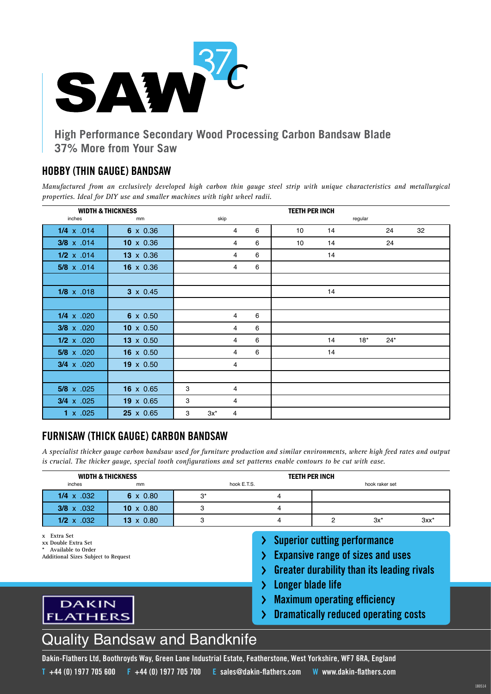

# **High Performance Secondary Wood Processing Carbon Bandsaw Blade 37% More from Your Saw**

#### **HOBBY (THIN GAUGE) BANDSAW**

*Manufactured from an exclusively developed high carbon thin gauge steel strip with unique characteristics and metallurgical properties. Ideal for DIY use and smaller machines with tight wheel radii.*

| <b>WIDTH &amp; THICKNESS</b> |                  |                     |   | <b>TEETH PER INCH</b> |    |         |       |    |
|------------------------------|------------------|---------------------|---|-----------------------|----|---------|-------|----|
| inches                       | mm               | skip                |   |                       |    | regular |       |    |
| $1/4 \times .014$            | 6 x 0.36         | 4                   | 6 | 10                    | 14 |         | 24    | 32 |
| $3/8 \times .014$            | $10 \times 0.36$ | 4                   | 6 | 10                    | 14 |         | 24    |    |
| $1/2 \times .014$            | 13 x 0.36        | 4                   | 6 |                       | 14 |         |       |    |
| $5/8 \times .014$            | 16 x 0.36        | 4                   | 6 |                       |    |         |       |    |
|                              |                  |                     |   |                       |    |         |       |    |
| $1/8 \times .018$            | $3 \times 0.45$  |                     |   |                       | 14 |         |       |    |
|                              |                  |                     |   |                       |    |         |       |    |
| $1/4 \times .020$            | $6 \times 0.50$  | 4                   | 6 |                       |    |         |       |    |
| $3/8 \times .020$            | $10 \times 0.50$ | 4                   | 6 |                       |    |         |       |    |
| $1/2 \times .020$            | 13 x 0.50        | 4                   | 6 |                       | 14 | $18*$   | $24*$ |    |
| $5/8 \times .020$            | 16 $\times$ 0.50 | 4                   | 6 |                       | 14 |         |       |    |
| $3/4 \times .020$            | $19 \times 0.50$ | 4                   |   |                       |    |         |       |    |
|                              |                  |                     |   |                       |    |         |       |    |
| $5/8 \times .025$            | $16 \times 0.65$ | 3<br>4              |   |                       |    |         |       |    |
| $3/4 \times .025$            | 19 x 0.65        | 3<br>$\overline{4}$ |   |                       |    |         |       |    |
| $1 \times .025$              | 25 x 0.65        | $3x^*$<br>3<br>4    |   |                       |    |         |       |    |

## **FURNISAW (THICK GAUGE) CARBON BANDSAW**

*A specialist thicker gauge carbon bandsaw used for furniture production and similar environments, where high feed rates and output is crucial. The thicker gauge, special tooth configurations and set patterns enable contours to be cut with ease.*

|                   | <b>WIDTH &amp; THICKNESS</b> |     |             | <b>TEETH PER INCH</b> |                |         |
|-------------------|------------------------------|-----|-------------|-----------------------|----------------|---------|
| inches            | mm                           |     | hook E.T.S. |                       | hook raker set |         |
| 1/4 $\times$ 032  | $6 \times 0.80$              | ∗בי |             |                       |                |         |
| $3/8 \times .032$ | 10 $\times$ 0.80             |     |             |                       |                |         |
| $1/2 \times .032$ | $13 \times 0.80$             |     |             |                       | $3x^*$         | $3xx^*$ |

**x Extra Set**

**Additional Sizes Subject to Request**

**DAKIN** 

**FLATHERS** 

- **Superior cutting performance** ≻
- **Expansive range of sizes and uses**
- **Greater durability than its leading rivals**  $\sum$
- **Longer blade life**
- **Maximum operating efficiency**  $\sum$
- **Dramatically reduced operating costs** ≻



**Dakin-Flathers Ltd, Boothroyds Way, Green Lane Industrial Estate, Featherstone, West Yorkshire, WF7 6RA, England T +44 (0) 1977 705 600 F +44 (0) 1977 705 700 E [sales@dakin-flathers.com](mailto:sales%40dakin-flathers.com?subject=Saw37C%20Range%20Enquiry) W [www.dakin-flathers.com](http://www.dakin-flathers.com)**

**xx Double Extra Set**

**<sup>\*</sup> Available to Order**